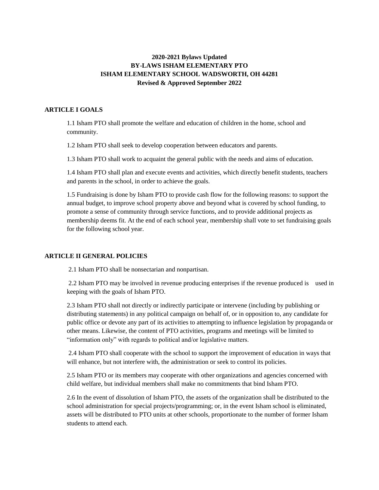# **2020-2021 Bylaws Updated BY-LAWS ISHAM ELEMENTARY PTO ISHAM ELEMENTARY SCHOOL WADSWORTH, OH 44281 Revised & Approved September 2022**

# **ARTICLE I GOALS**

1.1 Isham PTO shall promote the welfare and education of children in the home, school and community.

1.2 Isham PTO shall seek to develop cooperation between educators and parents.

1.3 Isham PTO shall work to acquaint the general public with the needs and aims of education.

1.4 Isham PTO shall plan and execute events and activities, which directly benefit students, teachers and parents in the school, in order to achieve the goals.

1.5 Fundraising is done by Isham PTO to provide cash flow for the following reasons: to support the annual budget, to improve school property above and beyond what is covered by school funding, to promote a sense of community through service functions, and to provide additional projects as membership deems fit. At the end of each school year, membership shall vote to set fundraising goals for the following school year.

#### **ARTICLE II GENERAL POLICIES**

2.1 Isham PTO shall be nonsectarian and nonpartisan.

2.2 Isham PTO may be involved in revenue producing enterprises if the revenue produced is used in keeping with the goals of Isham PTO.

2.3 Isham PTO shall not directly or indirectly participate or intervene (including by publishing or distributing statements) in any political campaign on behalf of, or in opposition to, any candidate for public office or devote any part of its activities to attempting to influence legislation by propaganda or other means. Likewise, the content of PTO activities, programs and meetings will be limited to "information only" with regards to political and/or legislative matters.

2.4 Isham PTO shall cooperate with the school to support the improvement of education in ways that will enhance, but not interfere with, the administration or seek to control its policies.

2.5 Isham PTO or its members may cooperate with other organizations and agencies concerned with child welfare, but individual members shall make no commitments that bind Isham PTO.

2.6 In the event of dissolution of Isham PTO, the assets of the organization shall be distributed to the school administration for special projects/programming; or, in the event Isham school is eliminated, assets will be distributed to PTO units at other schools, proportionate to the number of former Isham students to attend each.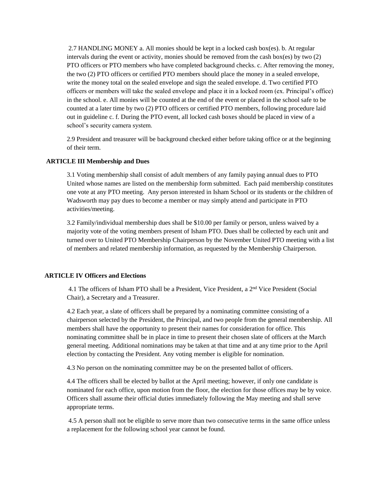2.7 HANDLING MONEY a. All monies should be kept in a locked cash box(es). b. At regular intervals during the event or activity, monies should be removed from the cash box(es) by two (2) PTO officers or PTO members who have completed background checks. c. After removing the money, the two (2) PTO officers or certified PTO members should place the money in a sealed envelope, write the money total on the sealed envelope and sign the sealed envelope. d. Two certified PTO officers or members will take the sealed envelope and place it in a locked room (ex. Principal's office) in the school. e. All monies will be counted at the end of the event or placed in the school safe to be counted at a later time by two (2) PTO officers or certified PTO members, following procedure laid out in guideline c. f. During the PTO event, all locked cash boxes should be placed in view of a school's security camera system.

2.9 President and treasurer will be background checked either before taking office or at the beginning of their term.

### **ARTICLE III Membership and Dues**

3.1 Voting membership shall consist of adult members of any family paying annual dues to PTO United whose names are listed on the membership form submitted. Each paid membership constitutes one vote at any PTO meeting. Any person interested in Isham School or its students or the children of Wadsworth may pay dues to become a member or may simply attend and participate in PTO activities/meeting.

3.2 Family/individual membership dues shall be \$10.00 per family or person, unless waived by a majority vote of the voting members present of Isham PTO. Dues shall be collected by each unit and turned over to United PTO Membership Chairperson by the November United PTO meeting with a list of members and related membership information, as requested by the Membership Chairperson.

# **ARTICLE IV Officers and Elections**

4.1 The officers of Isham PTO shall be a President, Vice President, a 2nd Vice President (Social Chair), a Secretary and a Treasurer.

4.2 Each year, a slate of officers shall be prepared by a nominating committee consisting of a chairperson selected by the President, the Principal, and two people from the general membership. All members shall have the opportunity to present their names for consideration for office. This nominating committee shall be in place in time to present their chosen slate of officers at the March general meeting. Additional nominations may be taken at that time and at any time prior to the April election by contacting the President. Any voting member is eligible for nomination.

4.3 No person on the nominating committee may be on the presented ballot of officers.

4.4 The officers shall be elected by ballot at the April meeting; however, if only one candidate is nominated for each office, upon motion from the floor, the election for those offices may be by voice. Officers shall assume their official duties immediately following the May meeting and shall serve appropriate terms.

4.5 A person shall not be eligible to serve more than two consecutive terms in the same office unless a replacement for the following school year cannot be found.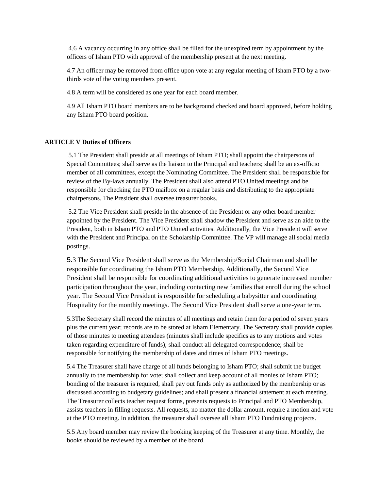4.6 A vacancy occurring in any office shall be filled for the unexpired term by appointment by the officers of Isham PTO with approval of the membership present at the next meeting.

4.7 An officer may be removed from office upon vote at any regular meeting of Isham PTO by a twothirds vote of the voting members present.

4.8 A term will be considered as one year for each board member.

4.9 All Isham PTO board members are to be background checked and board approved, before holding any Isham PTO board position.

### **ARTICLE V Duties of Officers**

5.1 The President shall preside at all meetings of Isham PTO; shall appoint the chairpersons of Special Committees; shall serve as the liaison to the Principal and teachers; shall be an ex-officio member of all committees, except the Nominating Committee. The President shall be responsible for review of the By-laws annually. The President shall also attend PTO United meetings and be responsible for checking the PTO mailbox on a regular basis and distributing to the appropriate chairpersons. The President shall oversee treasurer books.

5.2 The Vice President shall preside in the absence of the President or any other board member appointed by the President. The Vice President shall shadow the President and serve as an aide to the President, both in Isham PTO and PTO United activities. Additionally, the Vice President will serve with the President and Principal on the Scholarship Committee. The VP will manage all social media postings.

5.3 The Second Vice President shall serve as the Membership/Social Chairman and shall be responsible for coordinating the Isham PTO Membership. Additionally, the Second Vice President shall be responsible for coordinating additional activities to generate increased member participation throughout the year, including contacting new families that enroll during the school year. The Second Vice President is responsible for scheduling a babysitter and coordinating Hospitality for the monthly meetings. The Second Vice President shall serve a one-year term.

5.3The Secretary shall record the minutes of all meetings and retain them for a period of seven years plus the current year; records are to be stored at Isham Elementary. The Secretary shall provide copies of those minutes to meeting attendees (minutes shall include specifics as to any motions and votes taken regarding expenditure of funds); shall conduct all delegated correspondence; shall be responsible for notifying the membership of dates and times of Isham PTO meetings.

5.4 The Treasurer shall have charge of all funds belonging to Isham PTO; shall submit the budget annually to the membership for vote; shall collect and keep account of all monies of Isham PTO; bonding of the treasurer is required, shall pay out funds only as authorized by the membership or as discussed according to budgetary guidelines; and shall present a financial statement at each meeting. The Treasurer collects teacher request forms, presents requests to Principal and PTO Membership, assists teachers in filling requests. All requests, no matter the dollar amount, require a motion and vote at the PTO meeting. In addition, the treasurer shall oversee all Isham PTO Fundraising projects.

5.5 Any board member may review the booking keeping of the Treasurer at any time. Monthly, the books should be reviewed by a member of the board.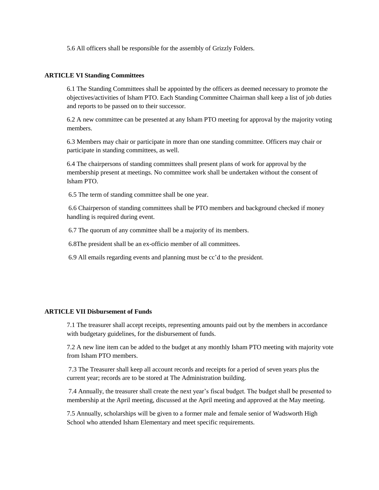5.6 All officers shall be responsible for the assembly of Grizzly Folders.

#### **ARTICLE VI Standing Committees**

6.1 The Standing Committees shall be appointed by the officers as deemed necessary to promote the objectives/activities of Isham PTO. Each Standing Committee Chairman shall keep a list of job duties and reports to be passed on to their successor.

6.2 A new committee can be presented at any Isham PTO meeting for approval by the majority voting members.

6.3 Members may chair or participate in more than one standing committee. Officers may chair or participate in standing committees, as well.

6.4 The chairpersons of standing committees shall present plans of work for approval by the membership present at meetings. No committee work shall be undertaken without the consent of Isham PTO.

6.5 The term of standing committee shall be one year.

6.6 Chairperson of standing committees shall be PTO members and background checked if money handling is required during event.

6.7 The quorum of any committee shall be a majority of its members.

6.8The president shall be an ex-officio member of all committees.

6.9 All emails regarding events and planning must be cc'd to the president.

#### **ARTICLE VII Disbursement of Funds**

7.1 The treasurer shall accept receipts, representing amounts paid out by the members in accordance with budgetary guidelines, for the disbursement of funds.

7.2 A new line item can be added to the budget at any monthly Isham PTO meeting with majority vote from Isham PTO members.

7.3 The Treasurer shall keep all account records and receipts for a period of seven years plus the current year; records are to be stored at The Administration building.

7.4 Annually, the treasurer shall create the next year's fiscal budget. The budget shall be presented to membership at the April meeting, discussed at the April meeting and approved at the May meeting.

7.5 Annually, scholarships will be given to a former male and female senior of Wadsworth High School who attended Isham Elementary and meet specific requirements.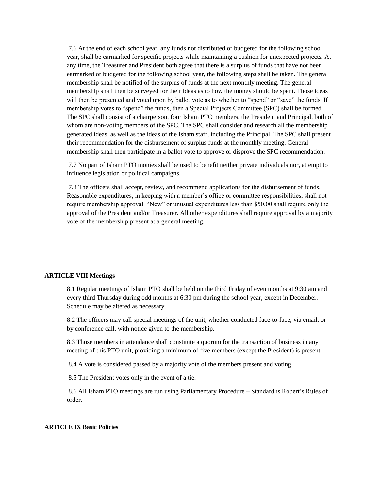7.6 At the end of each school year, any funds not distributed or budgeted for the following school year, shall be earmarked for specific projects while maintaining a cushion for unexpected projects. At any time, the Treasurer and President both agree that there is a surplus of funds that have not been earmarked or budgeted for the following school year, the following steps shall be taken. The general membership shall be notified of the surplus of funds at the next monthly meeting. The general membership shall then be surveyed for their ideas as to how the money should be spent. Those ideas will then be presented and voted upon by ballot vote as to whether to "spend" or "save" the funds. If membership votes to "spend" the funds, then a Special Projects Committee (SPC) shall be formed. The SPC shall consist of a chairperson, four Isham PTO members, the President and Principal, both of whom are non-voting members of the SPC. The SPC shall consider and research all the membership generated ideas, as well as the ideas of the Isham staff, including the Principal. The SPC shall present their recommendation for the disbursement of surplus funds at the monthly meeting. General membership shall then participate in a ballot vote to approve or disprove the SPC recommendation.

7.7 No part of Isham PTO monies shall be used to benefit neither private individuals nor, attempt to influence legislation or political campaigns.

7.8 The officers shall accept, review, and recommend applications for the disbursement of funds. Reasonable expenditures, in keeping with a member's office or committee responsibilities, shall not require membership approval. "New" or unusual expenditures less than \$50.00 shall require only the approval of the President and/or Treasurer. All other expenditures shall require approval by a majority vote of the membership present at a general meeting.

### **ARTICLE VIII Meetings**

8.1 Regular meetings of Isham PTO shall be held on the third Friday of even months at 9:30 am and every third Thursday during odd months at 6:30 pm during the school year, except in December. Schedule may be altered as necessary.

8.2 The officers may call special meetings of the unit, whether conducted face-to-face, via email, or by conference call, with notice given to the membership.

8.3 Those members in attendance shall constitute a quorum for the transaction of business in any meeting of this PTO unit, providing a minimum of five members (except the President) is present.

8.4 A vote is considered passed by a majority vote of the members present and voting.

8.5 The President votes only in the event of a tie.

8.6 All Isham PTO meetings are run using Parliamentary Procedure – Standard is Robert's Rules of order.

#### **ARTICLE IX Basic Policies**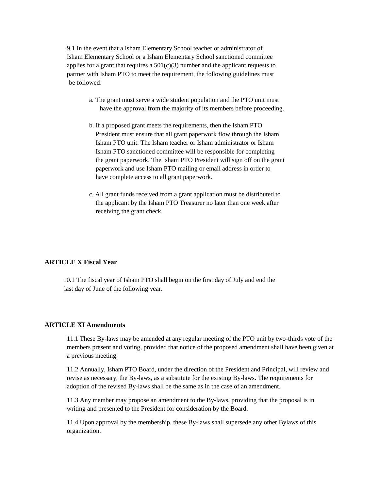9.1 In the event that a Isham Elementary School teacher or administrator of Isham Elementary School or a Isham Elementary School sanctioned committee applies for a grant that requires a  $501(c)(3)$  number and the applicant requests to partner with Isham PTO to meet the requirement, the following guidelines must be followed:

- a. The grant must serve a wide student population and the PTO unit must have the approval from the majority of its members before proceeding.
- b. If a proposed grant meets the requirements, then the Isham PTO President must ensure that all grant paperwork flow through the Isham Isham PTO unit. The Isham teacher or Isham administrator or Isham Isham PTO sanctioned committee will be responsible for completing the grant paperwork. The Isham PTO President will sign off on the grant paperwork and use Isham PTO mailing or email address in order to have complete access to all grant paperwork.
- c. All grant funds received from a grant application must be distributed to the applicant by the Isham PTO Treasurer no later than one week after receiving the grant check.

# **ARTICLE X Fiscal Year**

 10.1 The fiscal year of Isham PTO shall begin on the first day of July and end the last day of June of the following year.

### **ARTICLE XI Amendments**

11.1 These By-laws may be amended at any regular meeting of the PTO unit by two-thirds vote of the members present and voting, provided that notice of the proposed amendment shall have been given at a previous meeting.

11.2 Annually, Isham PTO Board, under the direction of the President and Principal, will review and revise as necessary, the By-laws, as a substitute for the existing By-laws. The requirements for adoption of the revised By-laws shall be the same as in the case of an amendment.

11.3 Any member may propose an amendment to the By-laws, providing that the proposal is in writing and presented to the President for consideration by the Board.

11.4 Upon approval by the membership, these By-laws shall supersede any other Bylaws of this organization.